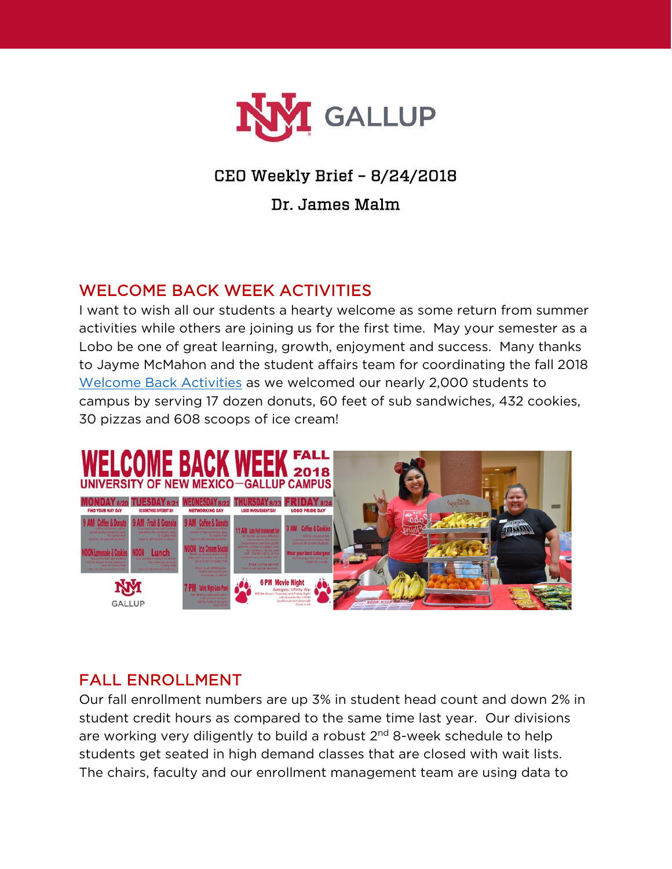

# CEO Weekly Brief – 8/24/2018

### Dr. James Malm

## WELCOME BACK WEEK ACTIVITIES

I want to wish all our students a hearty welcome as some return from summer activities while others are joining us for the first time. May your semester as a Lobo be one of great learning, growth, enjoyment and success. Many thanks to Jayme McMahon and the student affairs team for coordinating the fall 2018 [Welcome Back Activities](https://www.gallup.unm.edu/pdfs/WelcomeBackWeekFall2018.pdf) as we welcomed our nearly 2,000 students to campus by serving 17 dozen donuts, 60 feet of sub sandwiches, 432 cookies, 30 pizzas and 608 scoops of ice cream!



## FALL ENROLLMENT

Our fall enrollment numbers are up 3% in student head count and down 2% in student credit hours as compared to the same time last year. Our divisions are working very diligently to build a robust  $2^{nd}$  8-week schedule to help students get seated in high demand classes that are closed with wait lists. The chairs, faculty and our enrollment management team are using data to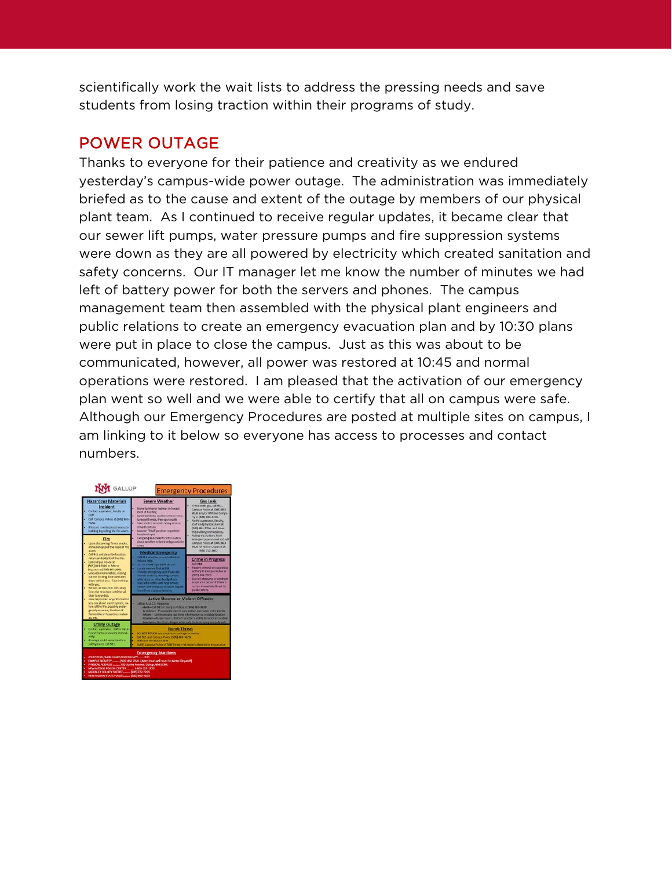scientifically work the wait lists to address the pressing needs and save students from losing traction within their programs of study.

### POWER OUTAGE

Thanks to everyone for their patience and creativity as we endured yesterday's campus-wide power outage. The administration was immediately briefed as to the cause and extent of the outage by members of our physical plant team. As I continued to receive regular updates, it became clear that our sewer lift pumps, water pressure pumps and fire suppression systems were down as they are all powered by electricity which created sanitation and safety concerns. Our IT manager let me know the number of minutes we had left of battery power for both the servers and phones. The campus management team then assembled with the physical plant engineers and public relations to create an emergency evacuation plan and by 10:30 plans were put in place to close the campus. Just as this was about to be communicated, however, all power was restored at 10:45 and normal operations were restored. I am pleased that the activation of our emergency plan went so well and we were able to certify that all on campus were safe. Although our Emergency Procedures are posted at multiple sites on campus, I am linking to it below so everyone has access to processes and contact numbers.

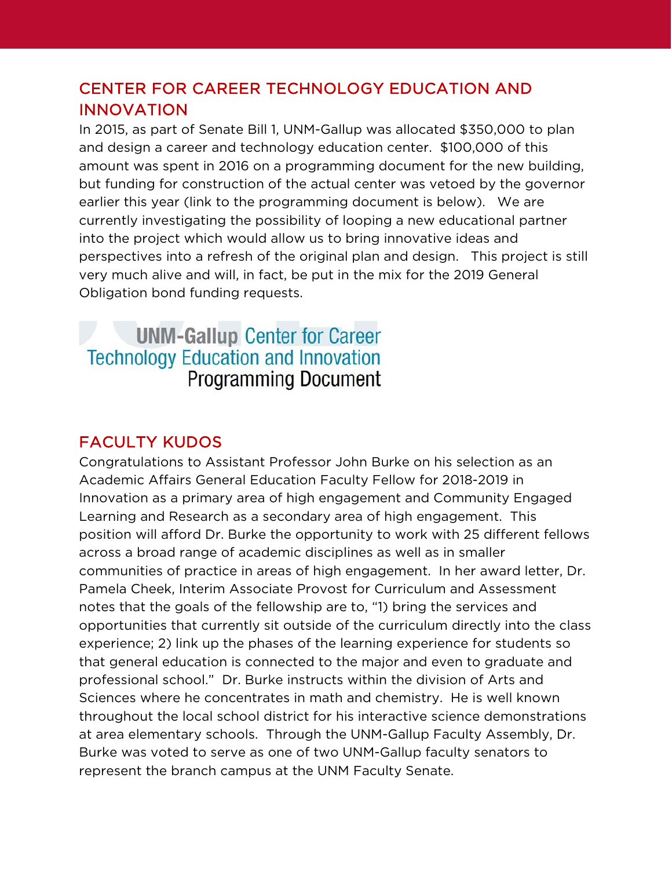## CENTER FOR CAREER TECHNOLOGY EDUCATION AND INNOVATION

In 2015, as part of Senate Bill 1, UNM-Gallup was allocated \$350,000 to plan and design a career and technology education center. \$100,000 of this amount was spent in 2016 on a programming document for the new building, but funding for construction of the actual center was vetoed by the governor earlier this year (link to the programming document is below). We are currently investigating the possibility of looping a new educational partner into the project which would allow us to bring innovative ideas and perspectives into a refresh of the original plan and design. This project is still very much alive and will, in fact, be put in the mix for the 2019 General Obligation bond funding requests.

# **UNM-Gallup Center for Career Technology Education and Innovation Programming Document**

# FACULTY KUDOS

Congratulations to Assistant Professor John Burke on his selection as an Academic Affairs General Education Faculty Fellow for 2018-2019 in Innovation as a primary area of high engagement and Community Engaged Learning and Research as a secondary area of high engagement. This position will afford Dr. Burke the opportunity to work with 25 different fellows across a broad range of academic disciplines as well as in smaller communities of practice in areas of high engagement. In her award letter, Dr. Pamela Cheek, Interim Associate Provost for Curriculum and Assessment notes that the goals of the fellowship are to, "1) bring the services and opportunities that currently sit outside of the curriculum directly into the class experience; 2) link up the phases of the learning experience for students so that general education is connected to the major and even to graduate and professional school." Dr. Burke instructs within the division of Arts and Sciences where he concentrates in math and chemistry. He is well known throughout the local school district for his interactive science demonstrations at area elementary schools. Through the UNM-Gallup Faculty Assembly, Dr. Burke was voted to serve as one of two UNM-Gallup faculty senators to represent the branch campus at the UNM Faculty Senate.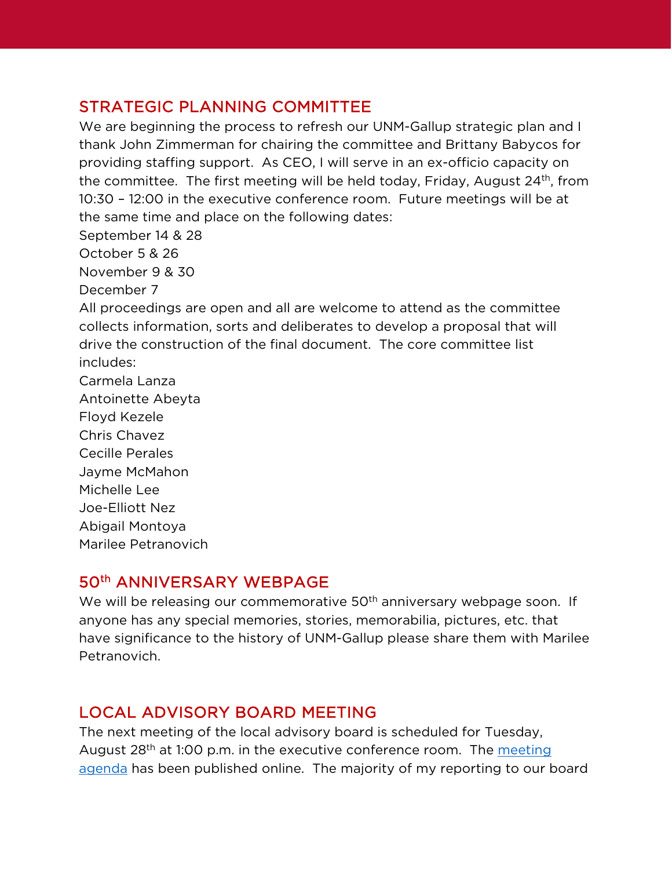## STRATEGIC PLANNING COMMITTEE

We are beginning the process to refresh our UNM-Gallup strategic plan and I thank John Zimmerman for chairing the committee and Brittany Babycos for providing staffing support. As CEO, I will serve in an ex-officio capacity on the committee. The first meeting will be held today, Friday, August  $24<sup>th</sup>$ , from 10:30 – 12:00 in the executive conference room. Future meetings will be at the same time and place on the following dates:

September 14 & 28

October 5 & 26

November 9 & 30

December 7

All proceedings are open and all are welcome to attend as the committee collects information, sorts and deliberates to develop a proposal that will drive the construction of the final document. The core committee list includes:

Carmela Lanza Antoinette Abeyta Floyd Kezele Chris Chavez Cecille Perales Jayme McMahon Michelle Lee Joe-Elliott Nez Abigail Montoya Marilee Petranovich

#### 50th ANNIVERSARY WEBPAGE

We will be releasing our commemorative 50<sup>th</sup> anniversary webpage soon. If anyone has any special memories, stories, memorabilia, pictures, etc. that have significance to the history of UNM-Gallup please share them with Marilee Petranovich.

## LOCAL ADVISORY BOARD MEETING

The next meeting of the local advisory board is scheduled for Tuesday, August 28<sup>th</sup> at 1:00 p.m. in the executive conference room. The meeting [agenda](https://www.gallup.unm.edu/administration/localboard/) has been published online. The majority of my reporting to our board